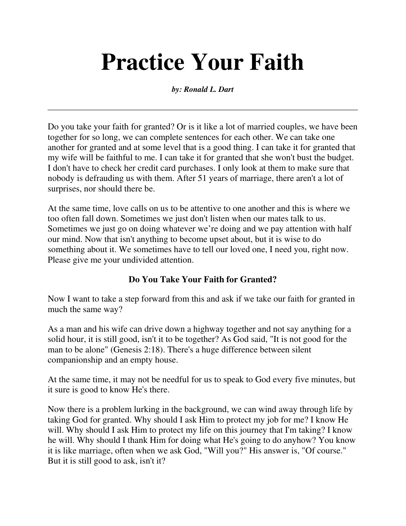# **Practice Your Faith**

*by: Ronald L. Dart*

Do you take your faith for granted? Or is it like a lot of married couples, we have been together for so long, we can complete sentences for each other. We can take one another for granted and at some level that is a good thing. I can take it for granted that my wife will be faithful to me. I can take it for granted that she won't bust the budget. I don't have to check her credit card purchases. I only look at them to make sure that nobody is defrauding us with them. After 51 years of marriage, there aren't a lot of surprises, nor should there be.

At the same time, love calls on us to be attentive to one another and this is where we too often fall down. Sometimes we just don't listen when our mates talk to us. Sometimes we just go on doing whatever we're doing and we pay attention with half our mind. Now that isn't anything to become upset about, but it is wise to do something about it. We sometimes have to tell our loved one, I need you, right now. Please give me your undivided attention.

## **Do You Take Your Faith for Granted?**

Now I want to take a step forward from this and ask if we take our faith for granted in much the same way?

As a man and his wife can drive down a highway together and not say anything for a solid hour, it is still good, isn't it to be together? As God said, "It is not good for the man to be alone" (Genesis 2:18). There's a huge difference between silent companionship and an empty house.

At the same time, it may not be needful for us to speak to God every five minutes, but it sure is good to know He's there.

Now there is a problem lurking in the background, we can wind away through life by taking God for granted. Why should I ask Him to protect my job for me? I know He will. Why should I ask Him to protect my life on this journey that I'm taking? I know he will. Why should I thank Him for doing what He's going to do anyhow? You know it is like marriage, often when we ask God, "Will you?" His answer is, "Of course." But it is still good to ask, isn't it?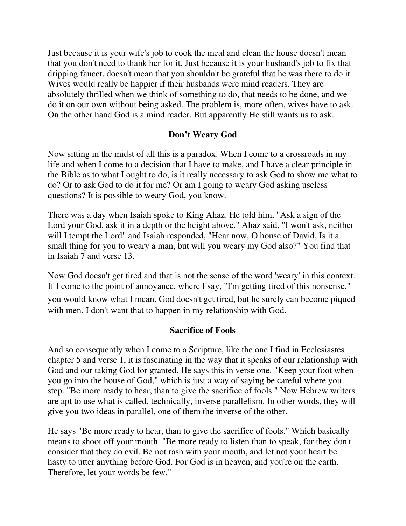Just because it is your wife's job to cook the meal and clean the house doesn't mean that you don't need to thank her for it. Just because it is your husband's job to fix that dripping faucet, doesn't mean that you shouldn't be grateful that he was there to do it. Wives would really be happier if their husbands were mind readers. They are absolutely thrilled when we think of something to do, that needs to be done, and we do it on our own without being asked. The problem is, more often, wives have to ask. On the other hand God is a mind reader. But apparently He still wants us to ask.

### **Don't Weary God**

Now sitting in the midst of all this is a paradox. When I come to a crossroads in my life and when I come to a decision that I have to make, and I have a clear principle in the Bible as to what I ought to do, is it really necessary to ask God to show me what to do? Or to ask God to do it for me? Or am I going to weary God asking useless questions? It is possible to weary God, you know.

There was a day when Isaiah spoke to King Ahaz. He told him, "Ask a sign of the Lord your God, ask it in a depth or the height above." Ahaz said, "I won't ask, neither will I tempt the Lord" and Isaiah responded, "Hear now, O house of David, Is it a small thing for you to weary a man, but will you weary my God also?" You find that in Isaiah 7 and verse 13.

Now God doesn't get tired and that is not the sense of the word 'weary' in this context. If I come to the point of annoyance, where I say, "I'm getting tired of this nonsense,"

you would know what I mean. God doesn't get tired, but he surely can become piqued with men. I don't want that to happen in my relationship with God.

#### **Sacrifice of Fools**

And so consequently when I come to a Scripture, like the one I find in Ecclesiastes chapter 5 and verse 1, it is fascinating in the way that it speaks of our relationship with God and our taking God for granted. He says this in verse one. "Keep your foot when you go into the house of God," which is just a way of saying be careful where you step. "Be more ready to hear, than to give the sacrifice of fools." Now Hebrew writers are apt to use what is called, technically, inverse parallelism. In other words, they will give you two ideas in parallel, one of them the inverse of the other.

He says "Be more ready to hear, than to give the sacrifice of fools." Which basically means to shoot off your mouth. "Be more ready to listen than to speak, for they don't consider that they do evil. Be not rash with your mouth, and let not your heart be hasty to utter anything before God. For God is in heaven, and you're on the earth. Therefore, let your words be few."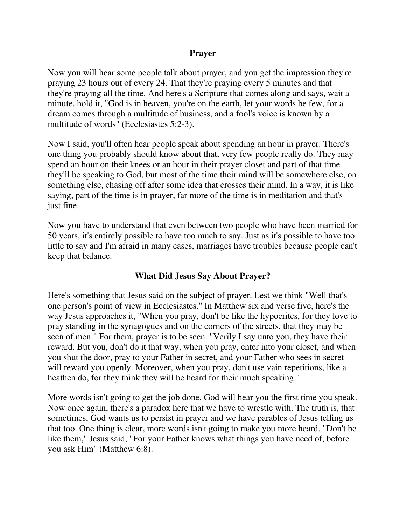#### **Prayer**

Now you will hear some people talk about prayer, and you get the impression they're praying 23 hours out of every 24. That they're praying every 5 minutes and that they're praying all the time. And here's a Scripture that comes along and says, wait a minute, hold it, "God is in heaven, you're on the earth, let your words be few, for a dream comes through a multitude of business, and a fool's voice is known by a multitude of words" (Ecclesiastes 5:2-3).

Now I said, you'll often hear people speak about spending an hour in prayer. There's one thing you probably should know about that, very few people really do. They may spend an hour on their knees or an hour in their prayer closet and part of that time they'll be speaking to God, but most of the time their mind will be somewhere else, on something else, chasing off after some idea that crosses their mind. In a way, it is like saying, part of the time is in prayer, far more of the time is in meditation and that's just fine.

Now you have to understand that even between two people who have been married for 50 years, it's entirely possible to have too much to say. Just as it's possible to have too little to say and I'm afraid in many cases, marriages have troubles because people can't keep that balance.

#### **What Did Jesus Say About Prayer?**

Here's something that Jesus said on the subject of prayer. Lest we think "Well that's one person's point of view in Ecclesiastes." In Matthew six and verse five, here's the way Jesus approaches it, "When you pray, don't be like the hypocrites, for they love to pray standing in the synagogues and on the corners of the streets, that they may be seen of men." For them, prayer is to be seen. "Verily I say unto you, they have their reward. But you, don't do it that way, when you pray, enter into your closet, and when you shut the door, pray to your Father in secret, and your Father who sees in secret will reward you openly. Moreover, when you pray, don't use vain repetitions, like a heathen do, for they think they will be heard for their much speaking."

More words isn't going to get the job done. God will hear you the first time you speak. Now once again, there's a paradox here that we have to wrestle with. The truth is, that sometimes, God wants us to persist in prayer and we have parables of Jesus telling us that too. One thing is clear, more words isn't going to make you more heard. "Don't be like them," Jesus said, "For your Father knows what things you have need of, before you ask Him" (Matthew 6:8).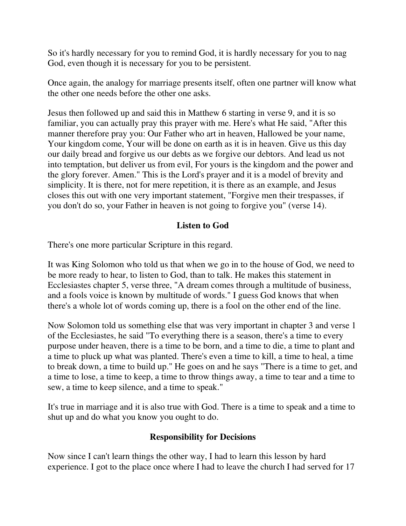So it's hardly necessary for you to remind God, it is hardly necessary for you to nag God, even though it is necessary for you to be persistent.

Once again, the analogy for marriage presents itself, often one partner will know what the other one needs before the other one asks.

Jesus then followed up and said this in Matthew 6 starting in verse 9, and it is so familiar, you can actually pray this prayer with me. Here's what He said, "After this manner therefore pray you: Our Father who art in heaven, Hallowed be your name, Your kingdom come, Your will be done on earth as it is in heaven. Give us this day our daily bread and forgive us our debts as we forgive our debtors. And lead us not into temptation, but deliver us from evil, For yours is the kingdom and the power and the glory forever. Amen." This is the Lord's prayer and it is a model of brevity and simplicity. It is there, not for mere repetition, it is there as an example, and Jesus closes this out with one very important statement, "Forgive men their trespasses, if you don't do so, your Father in heaven is not going to forgive you" (verse 14).

### **Listen to God**

There's one more particular Scripture in this regard.

It was King Solomon who told us that when we go in to the house of God, we need to be more ready to hear, to listen to God, than to talk. He makes this statement in Ecclesiastes chapter 5, verse three, "A dream comes through a multitude of business, and a fools voice is known by multitude of words." I guess God knows that when there's a whole lot of words coming up, there is a fool on the other end of the line.

Now Solomon told us something else that was very important in chapter 3 and verse 1 of the Ecclesiastes, he said "To everything there is a season, there's a time to every purpose under heaven, there is a time to be born, and a time to die, a time to plant and a time to pluck up what was planted. There's even a time to kill, a time to heal, a time to break down, a time to build up." He goes on and he says "There is a time to get, and a time to lose, a time to keep, a time to throw things away, a time to tear and a time to sew, a time to keep silence, and a time to speak."

It's true in marriage and it is also true with God. There is a time to speak and a time to shut up and do what you know you ought to do.

## **Responsibility for Decisions**

Now since I can't learn things the other way, I had to learn this lesson by hard experience. I got to the place once where I had to leave the church I had served for 17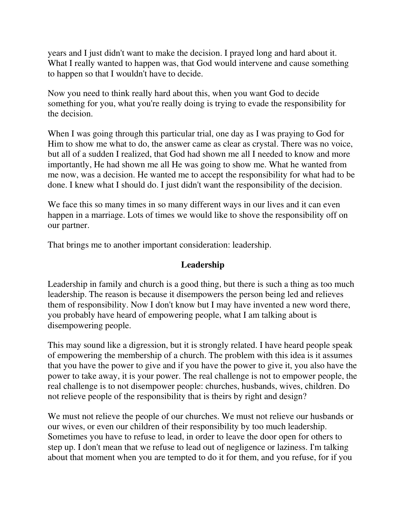years and I just didn't want to make the decision. I prayed long and hard about it. What I really wanted to happen was, that God would intervene and cause something to happen so that I wouldn't have to decide.

Now you need to think really hard about this, when you want God to decide something for you, what you're really doing is trying to evade the responsibility for the decision.

When I was going through this particular trial, one day as I was praying to God for Him to show me what to do, the answer came as clear as crystal. There was no voice, but all of a sudden I realized, that God had shown me all I needed to know and more importantly, He had shown me all He was going to show me. What he wanted from me now, was a decision. He wanted me to accept the responsibility for what had to be done. I knew what I should do. I just didn't want the responsibility of the decision.

We face this so many times in so many different ways in our lives and it can even happen in a marriage. Lots of times we would like to shove the responsibility off on our partner.

That brings me to another important consideration: leadership.

#### **Leadership**

Leadership in family and church is a good thing, but there is such a thing as too much leadership. The reason is because it disempowers the person being led and relieves them of responsibility. Now I don't know but I may have invented a new word there, you probably have heard of empowering people, what I am talking about is disempowering people.

This may sound like a digression, but it is strongly related. I have heard people speak of empowering the membership of a church. The problem with this idea is it assumes that you have the power to give and if you have the power to give it, you also have the power to take away, it is your power. The real challenge is not to empower people, the real challenge is to not disempower people: churches, husbands, wives, children. Do not relieve people of the responsibility that is theirs by right and design?

We must not relieve the people of our churches. We must not relieve our husbands or our wives, or even our children of their responsibility by too much leadership. Sometimes you have to refuse to lead, in order to leave the door open for others to step up. I don't mean that we refuse to lead out of negligence or laziness. I'm talking about that moment when you are tempted to do it for them, and you refuse, for if you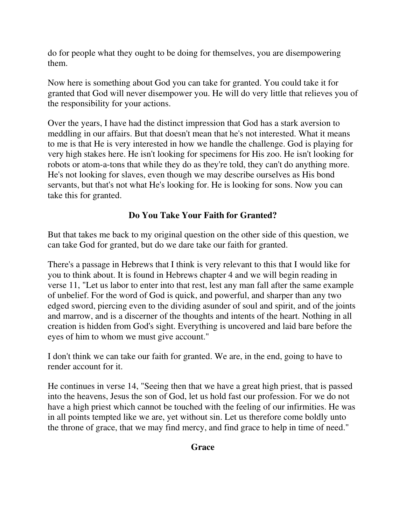do for people what they ought to be doing for themselves, you are disempowering them.

Now here is something about God you can take for granted. You could take it for granted that God will never disempower you. He will do very little that relieves you of the responsibility for your actions.

Over the years, I have had the distinct impression that God has a stark aversion to meddling in our affairs. But that doesn't mean that he's not interested. What it means to me is that He is very interested in how we handle the challenge. God is playing for very high stakes here. He isn't looking for specimens for His zoo. He isn't looking for robots or atom-a-tons that while they do as they're told, they can't do anything more. He's not looking for slaves, even though we may describe ourselves as His bond servants, but that's not what He's looking for. He is looking for sons. Now you can take this for granted.

## **Do You Take Your Faith for Granted?**

But that takes me back to my original question on the other side of this question, we can take God for granted, but do we dare take our faith for granted.

There's a passage in Hebrews that I think is very relevant to this that I would like for you to think about. It is found in Hebrews chapter 4 and we will begin reading in verse 11, "Let us labor to enter into that rest, lest any man fall after the same example of unbelief. For the word of God is quick, and powerful, and sharper than any two edged sword, piercing even to the dividing asunder of soul and spirit, and of the joints and marrow, and is a discerner of the thoughts and intents of the heart. Nothing in all creation is hidden from God's sight. Everything is uncovered and laid bare before the eyes of him to whom we must give account."

I don't think we can take our faith for granted. We are, in the end, going to have to render account for it.

He continues in verse 14, "Seeing then that we have a great high priest, that is passed into the heavens, Jesus the son of God, let us hold fast our profession. For we do not have a high priest which cannot be touched with the feeling of our infirmities. He was in all points tempted like we are, yet without sin. Let us therefore come boldly unto the throne of grace, that we may find mercy, and find grace to help in time of need."

## **Grace**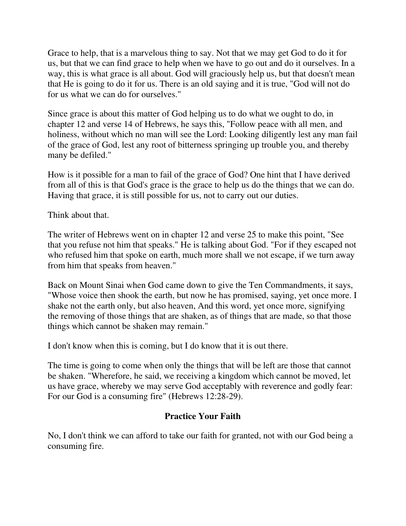Grace to help, that is a marvelous thing to say. Not that we may get God to do it for us, but that we can find grace to help when we have to go out and do it ourselves. In a way, this is what grace is all about. God will graciously help us, but that doesn't mean that He is going to do it for us. There is an old saying and it is true, "God will not do for us what we can do for ourselves."

Since grace is about this matter of God helping us to do what we ought to do, in chapter 12 and verse 14 of Hebrews, he says this, "Follow peace with all men, and holiness, without which no man will see the Lord: Looking diligently lest any man fail of the grace of God, lest any root of bitterness springing up trouble you, and thereby many be defiled."

How is it possible for a man to fail of the grace of God? One hint that I have derived from all of this is that God's grace is the grace to help us do the things that we can do. Having that grace, it is still possible for us, not to carry out our duties.

Think about that.

The writer of Hebrews went on in chapter 12 and verse 25 to make this point, "See that you refuse not him that speaks." He is talking about God. "For if they escaped not who refused him that spoke on earth, much more shall we not escape, if we turn away from him that speaks from heaven."

Back on Mount Sinai when God came down to give the Ten Commandments, it says, "Whose voice then shook the earth, but now he has promised, saying, yet once more. I shake not the earth only, but also heaven, And this word, yet once more, signifying the removing of those things that are shaken, as of things that are made, so that those things which cannot be shaken may remain."

I don't know when this is coming, but I do know that it is out there.

The time is going to come when only the things that will be left are those that cannot be shaken. "Wherefore, he said, we receiving a kingdom which cannot be moved, let us have grace, whereby we may serve God acceptably with reverence and godly fear: For our God is a consuming fire" (Hebrews 12:28-29).

## **Practice Your Faith**

No, I don't think we can afford to take our faith for granted, not with our God being a consuming fire.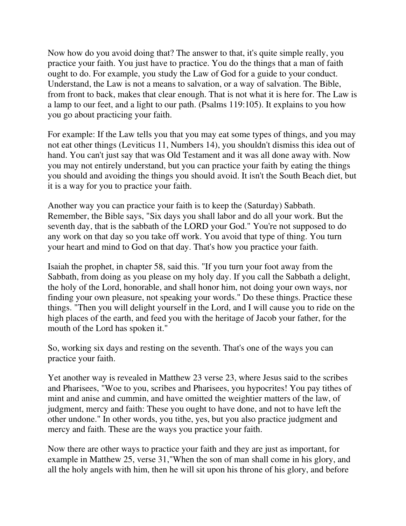Now how do you avoid doing that? The answer to that, it's quite simple really, you practice your faith. You just have to practice. You do the things that a man of faith ought to do. For example, you study the Law of God for a guide to your conduct. Understand, the Law is not a means to salvation, or a way of salvation. The Bible, from front to back, makes that clear enough. That is not what it is here for. The Law is a lamp to our feet, and a light to our path. (Psalms 119:105). It explains to you how you go about practicing your faith.

For example: If the Law tells you that you may eat some types of things, and you may not eat other things (Leviticus 11, Numbers 14), you shouldn't dismiss this idea out of hand. You can't just say that was Old Testament and it was all done away with. Now you may not entirely understand, but you can practice your faith by eating the things you should and avoiding the things you should avoid. It isn't the South Beach diet, but it is a way for you to practice your faith.

Another way you can practice your faith is to keep the (Saturday) Sabbath. Remember, the Bible says, "Six days you shall labor and do all your work. But the seventh day, that is the sabbath of the LORD your God." You're not supposed to do any work on that day so you take off work. You avoid that type of thing. You turn your heart and mind to God on that day. That's how you practice your faith.

Isaiah the prophet, in chapter 58, said this. "If you turn your foot away from the Sabbath, from doing as you please on my holy day. If you call the Sabbath a delight, the holy of the Lord, honorable, and shall honor him, not doing your own ways, nor finding your own pleasure, not speaking your words." Do these things. Practice these things. "Then you will delight yourself in the Lord, and I will cause you to ride on the high places of the earth, and feed you with the heritage of Jacob your father, for the mouth of the Lord has spoken it."

So, working six days and resting on the seventh. That's one of the ways you can practice your faith.

Yet another way is revealed in Matthew 23 verse 23, where Jesus said to the scribes and Pharisees, "Woe to you, scribes and Pharisees, you hypocrites! You pay tithes of mint and anise and cummin, and have omitted the weightier matters of the law, of judgment, mercy and faith: These you ought to have done, and not to have left the other undone." In other words, you tithe, yes, but you also practice judgment and mercy and faith. These are the ways you practice your faith.

Now there are other ways to practice your faith and they are just as important, for example in Matthew 25, verse 31,"When the son of man shall come in his glory, and all the holy angels with him, then he will sit upon his throne of his glory, and before